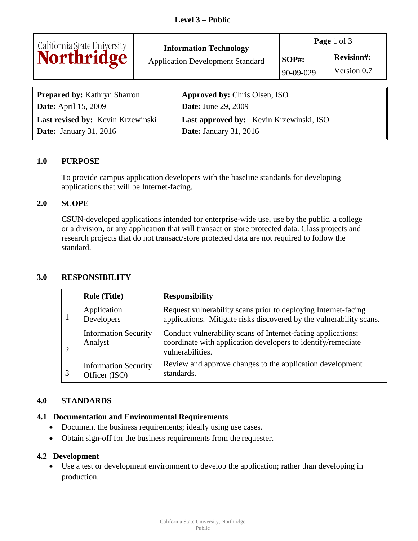

# **Information Technology**

Application Development Standard **SOP#: Revision#:** 

**Page** 1 of 3  $90 - 09 - 029$  Version 0.7

| <b>Prepared by: Kathryn Sharron</b> | <b>Approved by: Chris Olsen, ISO</b>    |
|-------------------------------------|-----------------------------------------|
| <b>Date:</b> April 15, 2009         | <b>Date:</b> June 29, 2009              |
| Last revised by: Kevin Krzewinski   | Last approved by: Kevin Krzewinski, ISO |
| <b>Date:</b> January 31, 2016       | <b>Date:</b> January 31, 2016           |

### **1.0 PURPOSE**

To provide campus application developers with the baseline standards for developing applications that will be Internet-facing.

### **2.0 SCOPE**

CSUN-developed applications intended for enterprise-wide use, use by the public, a college or a division, or any application that will transact or store protected data. Class projects and research projects that do not transact/store protected data are not required to follow the standard.

### **3.0 RESPONSIBILITY**

| <b>Role (Title)</b>                          | <b>Responsibility</b>                                                                                                                            |
|----------------------------------------------|--------------------------------------------------------------------------------------------------------------------------------------------------|
| Application<br>Developers                    | Request vulnerability scans prior to deploying Internet-facing<br>applications. Mitigate risks discovered by the vulnerability scans.            |
| <b>Information Security</b><br>Analyst       | Conduct vulnerability scans of Internet-facing applications;<br>coordinate with application developers to identify/remediate<br>vulnerabilities. |
| <b>Information Security</b><br>Officer (ISO) | Review and approve changes to the application development<br>standards.                                                                          |

### **4.0 STANDARDS**

### **4.1 Documentation and Environmental Requirements**

- Document the business requirements; ideally using use cases.
- Obtain sign-off for the business requirements from the requester.

### **4.2 Development**

 Use a test or development environment to develop the application; rather than developing in production.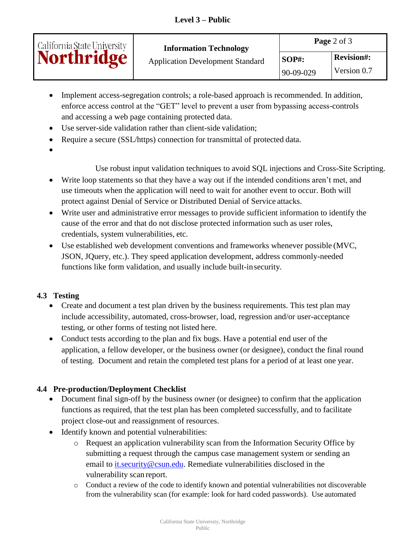| California State University | <b>Information Technology</b><br><b>Application Development Standard</b> | Page 2 of 3           |                                  |
|-----------------------------|--------------------------------------------------------------------------|-----------------------|----------------------------------|
| <b>Northridge</b>           |                                                                          | $SOP#$ :<br>90-09-029 | <b>Revision#:</b><br>Version 0.7 |

- Implement access-segregation controls; a role-based approach is recommended. In addition, enforce access control at the "GET" level to prevent a user from bypassing access-controls and accessing a web page containing protected data.
- Use server-side validation rather than client-side validation;
- Require a secure (SSL/https) connection for transmittal of protected data.
- $\bullet$  Encrypted 1 data either Level 1 data either by using and other by using an encrypted database or an encrypted database or an encrypted database or an encrypted database or an encrypted database or an encrypted databa

Use robust input validation techniques to avoid SQL injections and Cross-Site Scripting.

- Write loop statements so that they have a way out if the intended conditions aren't met, and use timeouts when the application will need to wait for another event to occur. Both will protect against Denial of Service or Distributed Denial of Service attacks.
- Write user and administrative error messages to provide sufficient information to identify the cause of the error and that do not disclose protected information such as user roles, credentials, system vulnerabilities, etc.
- Use established web development conventions and frameworks whenever possible (MVC, JSON, JQuery, etc.). They speed application development, address commonly-needed functions like form validation, and usually include built-in security.

## **4.3 Testing**

- Create and document a test plan driven by the business requirements. This test plan may include accessibility, automated, cross-browser, load, regression and/or user-acceptance testing, or other forms of testing not listed here.
- Conduct tests according to the plan and fix bugs. Have a potential end user of the application, a fellow developer, or the business owner (or designee), conduct the final round of testing. Document and retain the completed test plans for a period of at least one year.

## **4.4 Pre-production/Deployment Checklist**

- Document final sign-off by the business owner (or designee) to confirm that the application functions as required, that the test plan has been completed successfully, and to facilitate project close-out and reassignment of resources.
- Identify known and potential vulnerabilities:
	- o Request an application vulnerability scan from the Information Security Office by submitting a request through the campus case management system or sending an email to [it.security@csun.edu.](mailto:it.security@csun.edu) Remediate vulnerabilities disclosed in the vulnerability scan report.
	- o Conduct a review of the code to identify known and potential vulnerabilities not discoverable from the vulnerability scan (for example: look for hard coded passwords). Use automated